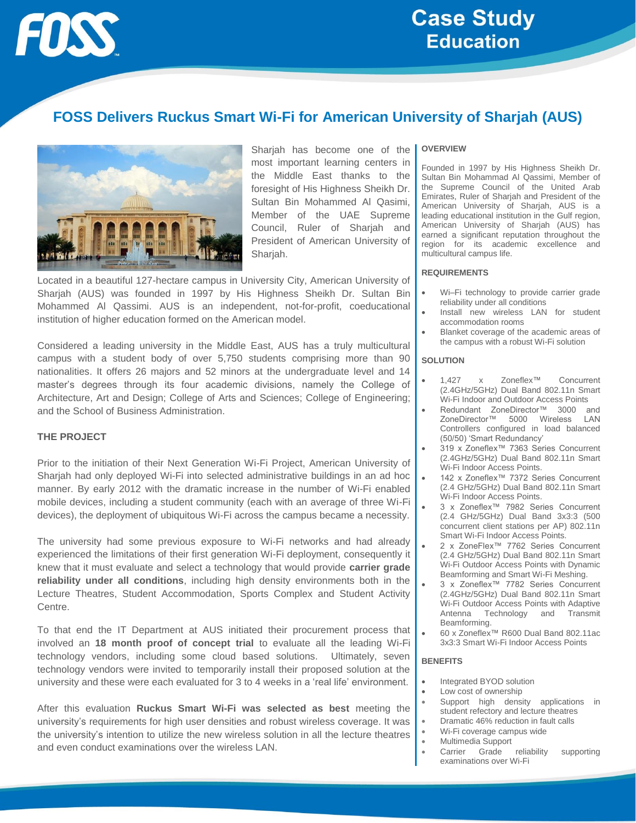

# **Case Study Education**

# **FOSS Delivers Ruckus Smart Wi-Fi for American University of Sharjah (AUS)**



Sharjah has become one of the most important learning centers in the Middle East thanks to the foresight of His Highness Sheikh Dr. Sultan Bin Mohammed Al Qasimi, Member of the UAE Supreme Council, Ruler of Sharjah and President of American University of Sharjah.

Located in a beautiful 127-hectare campus in University City, American University of Sharjah (AUS) was founded in 1997 by His Highness Sheikh Dr. Sultan Bin Mohammed Al Qassimi. AUS is an independent, not-for-profit, coeducational institution of higher education formed on the American model.

Considered a leading university in the Middle East, AUS has a truly multicultural campus with a student body of over 5,750 students comprising more than 90 nationalities. It offers 26 majors and 52 minors at the undergraduate level and 14 master's degrees through its four academic divisions, namely the College of Architecture, Art and Design; College of Arts and Sciences; College of Engineering; and the School of Business Administration.

# **THE PROJECT**

Prior to the initiation of their Next Generation Wi-Fi Project, American University of Sharjah had only deployed Wi-Fi into selected administrative buildings in an ad hoc manner. By early 2012 with the dramatic increase in the number of Wi-Fi enabled mobile devices, including a student community (each with an average of three Wi-Fi devices), the deployment of ubiquitous Wi-Fi across the campus became a necessity.

The university had some previous exposure to Wi-Fi networks and had already experienced the limitations of their first generation Wi-Fi deployment, consequently it knew that it must evaluate and select a technology that would provide **carrier grade reliability under all conditions**, including high density environments both in the Lecture Theatres, Student Accommodation, Sports Complex and Student Activity Centre.

To that end the IT Department at AUS initiated their procurement process that involved an **18 month proof of concept trial** to evaluate all the leading Wi-Fi technology vendors, including some cloud based solutions. Ultimately, seven technology vendors were invited to temporarily install their proposed solution at the university and these were each evaluated for 3 to 4 weeks in a 'real life' environment.

After this evaluation **Ruckus Smart Wi-Fi was selected as best** meeting the university's requirements for high user densities and robust wireless coverage. It was the university's intention to utilize the new wireless solution in all the lecture theatres and even conduct examinations over the wireless LAN.

#### **OVERVIEW**

Founded in 1997 by His Highness Sheikh Dr. Sultan Bin Mohammad Al Qassimi, Member of the Supreme Council of the United Arab Emirates, Ruler of Sharjah and President of the American University of Sharjah, AUS is a leading educational institution in the Gulf region, American University of Sharjah (AUS) has earned a significant reputation throughout the region for its academic excellence and multicultural campus life.

#### **REQUIREMENTS**

- Wi–Fi technology to provide carrier grade reliability under all conditions
- Install new wireless LAN for student accommodation rooms
- Blanket coverage of the academic areas of the campus with a robust Wi-Fi solution

#### **SOLUTION**

- 1,427 x Zoneflex™ Concurrent (2.4GHz/5GHz) Dual Band 802.11n Smart Wi-Fi Indoor and Outdoor Access Points
- Redundant ZoneDirector™ 3000 and ZoneDirector™ 5000 Wireless LAN Controllers configured in load balanced (50/50) 'Smart Redundancy'
- 319 x Zoneflex™ 7363 Series Concurrent (2.4GHz/5GHz) Dual Band 802.11n Smart Wi-Fi Indoor Access Points.
- 142 x Zoneflex™ 7372 Series Concurrent (2.4 GHz/5GHz) Dual Band 802.11n Smart Wi-Fi Indoor Access Points.
- 3 x Zoneflex™ 7982 Series Concurrent (2.4 GHz/5GHz) Dual Band 3x3:3 (500 concurrent client stations per AP) 802.11n Smart Wi-Fi Indoor Access Points.
- 2 x ZoneFlex<sup>™</sup> 7762 Series Concurrent (2.4 GHz/5GHz) Dual Band 802.11n Smart Wi-Fi Outdoor Access Points with Dynamic Beamforming and Smart Wi-Fi Meshing.
- 3 x Zoneflex™ 7782 Series Concurrent (2.4GHz/5GHz) Dual Band 802.11n Smart Wi-Fi Outdoor Access Points with Adaptive Antenna Technology and Transmit Beamforming.
- 60 x Zoneflex™ R600 Dual Band 802.11ac 3x3:3 Smart Wi-Fi Indoor Access Points

#### **BENEFITS**

- Integrated BYOD solution
- Low cost of ownership
- Support high density applications in student refectory and lecture theatres
- Dramatic 46% reduction in fault calls
- Wi-Fi coverage campus wide
- Multimedia Support
- Carrier Grade reliability supporting examinations over Wi-Fi